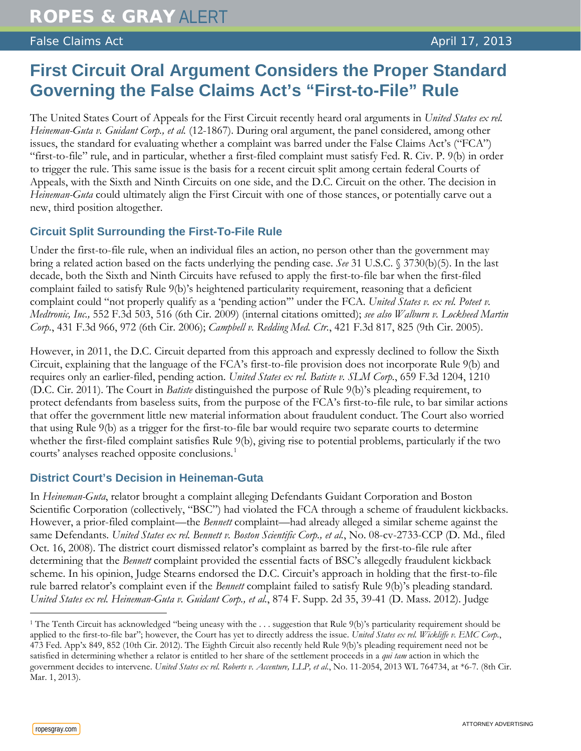## False Claims Act **April 17, 2013**

# **First Circuit Oral Argument Considers the Proper Standard Governing the False Claims Act's "First-to-File" Rule**

The United States Court of Appeals for the First Circuit recently heard oral arguments in *United States ex rel. Heineman-Guta v. Guidant Corp., et al.* (12-1867). During oral argument, the panel considered, among other issues, the standard for evaluating whether a complaint was barred under the False Claims Act's ("FCA") "first-to-file" rule, and in particular, whether a first-filed complaint must satisfy Fed. R. Civ. P. 9(b) in order to trigger the rule. This same issue is the basis for a recent circuit split among certain federal Courts of Appeals, with the Sixth and Ninth Circuits on one side, and the D.C. Circuit on the other. The decision in *Heineman-Guta* could ultimately align the First Circuit with one of those stances, or potentially carve out a new, third position altogether.

### **Circuit Split Surrounding the First-To-File Rule**

Under the first-to-file rule, when an individual files an action, no person other than the government may bring a related action based on the facts underlying the pending case. *See* 31 U.S.C. § 3730(b)(5). In the last decade, both the Sixth and Ninth Circuits have refused to apply the first-to-file bar when the first-filed complaint failed to satisfy Rule 9(b)'s heightened particularity requirement, reasoning that a deficient complaint could "not properly qualify as a 'pending action'" under the FCA. *United States v. ex rel. Poteet v. Medtronic, Inc.,* 552 F.3d 503, 516 (6th Cir. 2009) (internal citations omitted); *see also Walburn v. Lockheed Martin Corp.*, 431 F.3d 966, 972 (6th Cir. 2006); *Campbell v. Redding Med. Ctr.*, 421 F.3d 817, 825 (9th Cir. 2005).

However, in 2011, the D.C. Circuit departed from this approach and expressly declined to follow the Sixth Circuit, explaining that the language of the FCA's first-to-file provision does not incorporate Rule 9(b) and requires only an earlier-filed, pending action. *United States ex rel. Batiste v. SLM Corp.*, 659 F.3d 1204, 1210 (D.C. Cir. 2011). The Court in *Batiste* distinguished the purpose of Rule 9(b)'s pleading requirement, to protect defendants from baseless suits, from the purpose of the FCA's first-to-file rule, to bar similar actions that offer the government little new material information about fraudulent conduct. The Court also worried that using Rule 9(b) as a trigger for the first-to-file bar would require two separate courts to determine whether the first-filed complaint satisfies Rule 9(b), giving rise to potential problems, particularly if the two courts' analyses reached opposite conclusions.<sup>[1](#page-0-0)</sup>

#### **District Court's Decision in Heineman-Guta**

In *Heineman-Guta*, relator brought a complaint alleging Defendants Guidant Corporation and Boston Scientific Corporation (collectively, "BSC") had violated the FCA through a scheme of fraudulent kickbacks. However, a prior-filed complaint—the *Bennett* complaint—had already alleged a similar scheme against the same Defendants. *United States ex rel. Bennett v. Boston Scientific Corp., et al.*, No. 08-cv-2733-CCP (D. Md., filed Oct. 16, 2008). The district court dismissed relator's complaint as barred by the first-to-file rule after determining that the *Bennett* complaint provided the essential facts of BSC's allegedly fraudulent kickback scheme. In his opinion, Judge Stearns endorsed the D.C. Circuit's approach in holding that the first-to-file rule barred relator's complaint even if the *Bennett* complaint failed to satisfy Rule 9(b)'s pleading standard. *United States ex rel. Heineman-Guta v. Guidant Corp., et al.*, 874 F. Supp. 2d 35, 39-41 (D. Mass. 2012). Judge

 $\overline{a}$ 

<span id="page-0-0"></span><sup>1</sup> The Tenth Circuit has acknowledged "being uneasy with the . . . suggestion that Rule 9(b)'s particularity requirement should be applied to the first-to-file bar"; however, the Court has yet to directly address the issue. *United States ex rel. Wickliffe v. EMC Corp.*, 473 Fed. App'x 849, 852 (10th Cir. 2012). The Eighth Circuit also recently held Rule 9(b)'s pleading requirement need not be satisfied in determining whether a relator is entitled to her share of the settlement proceeds in a *qui tam* action in which the government decides to intervene. *United States ex rel. Roberts v. Accenture, LLP, et al.*, No. 11-2054, 2013 WL 764734, at \*6-7. (8th Cir. Mar. 1, 2013).